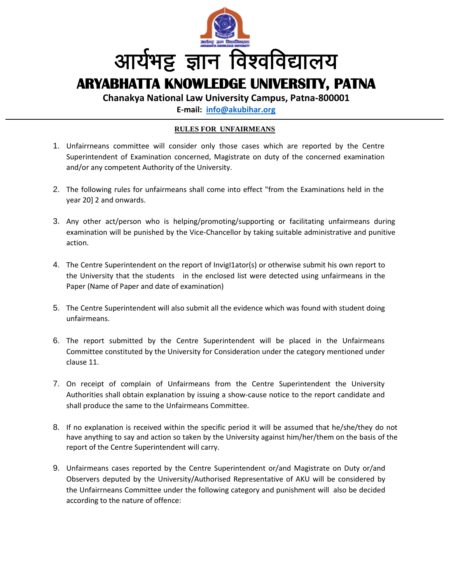

**E-mail: [info@akubihar.org](mailto:info@akubihar.org)**

## **RULES FOR UNFAIRMEANS**

- 1. Unfairrneans committee will consider only those cases which are reported by the Centre Superintendent of Examination concerned, Magistrate on duty of the concerned examination and/or any competent Authority of the University.
- 2. The following rules for unfairmeans shall come into effect "from the Examinations held in the year 20] 2 and onwards.
- 3. Any other act/person who is helping/promoting/supporting or facilitating unfairmeans during examination will be punished by the Vice-Chancellor by taking suitable administrative and punitive action.
- 4. The Centre Superintendent on the report of InvigI1ator(s) or otherwise submit his own report to the University that the students in the enclosed list were detected using unfairmeans in the Paper (Name of Paper and date of examination)
- 5. The Centre Superintendent will also submit all the evidence which was found with student doing unfairmeans.
- 6. The report submitted by the Centre Superintendent will be placed in the Unfairmeans Committee constituted by the University for Consideration under the category mentioned under clause 11.
- 7. On receipt of complain of Unfairmeans from the Centre Superintendent the University Authorities shall obtain explanation by issuing a show-cause notice to the report candidate and shall produce the same to the Unfairmeans Committee.
- 8. If no explanation is received within the specific period it will be assumed that he/she/they do not have anything to say and action so taken by the University against him/her/them on the basis of the report of the Centre Superintendent will carry.
- 9. Unfairmeans cases reported by the Centre Superintendent or/and Magistrate on Duty or/and Observers deputed by the University/Authorised Representative of AKU will be considered by the Unfairrneans Committee under the following category and punishment will also be decided according to the nature of offence: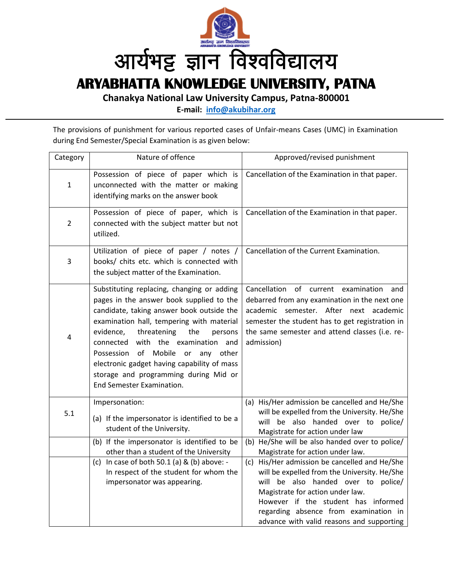

**E-mail: [info@akubihar.org](mailto:info@akubihar.org)**

The provisions of punishment for various reported cases of Unfair-means Cases (UMC) in Examination during End Semester/Special Examination is as given below:

| Category       | Nature of offence                                                                                                                                                                                                                                                                                                                                                                                                                       | Approved/revised punishment                                                                                                                                                                                                                                                                           |
|----------------|-----------------------------------------------------------------------------------------------------------------------------------------------------------------------------------------------------------------------------------------------------------------------------------------------------------------------------------------------------------------------------------------------------------------------------------------|-------------------------------------------------------------------------------------------------------------------------------------------------------------------------------------------------------------------------------------------------------------------------------------------------------|
| $\mathbf 1$    | Possession of piece of paper which is<br>unconnected with the matter or making<br>identifying marks on the answer book                                                                                                                                                                                                                                                                                                                  | Cancellation of the Examination in that paper.                                                                                                                                                                                                                                                        |
| $\overline{2}$ | Possession of piece of paper, which is<br>connected with the subject matter but not<br>utilized.                                                                                                                                                                                                                                                                                                                                        | Cancellation of the Examination in that paper.                                                                                                                                                                                                                                                        |
| 3              | Utilization of piece of paper / notes /<br>books/ chits etc. which is connected with<br>the subject matter of the Examination.                                                                                                                                                                                                                                                                                                          | Cancellation of the Current Examination.                                                                                                                                                                                                                                                              |
| 4              | Substituting replacing, changing or adding<br>pages in the answer book supplied to the<br>candidate, taking answer book outside the<br>examination hall, tempering with material<br>the<br>evidence,<br>threatening<br>persons<br>with the examination and<br>connected<br>Possession<br>of<br>Mobile or any other<br>electronic gadget having capability of mass<br>storage and programming during Mid or<br>End Semester Examination. | Cancellation of current examination and<br>debarred from any examination in the next one<br>academic semester. After next academic<br>semester the student has to get registration in<br>the same semester and attend classes (i.e. re-<br>admission)                                                 |
| 5.1            | Impersonation:<br>(a) If the impersonator is identified to be a<br>student of the University.                                                                                                                                                                                                                                                                                                                                           | (a) His/Her admission be cancelled and He/She<br>will be expelled from the University. He/She<br>will be also handed over to police/<br>Magistrate for action under law                                                                                                                               |
|                | (b) If the impersonator is identified to be<br>other than a student of the University                                                                                                                                                                                                                                                                                                                                                   | (b) He/She will be also handed over to police/<br>Magistrate for action under law.                                                                                                                                                                                                                    |
|                | (c) In case of both $50.1$ (a) & (b) above: -<br>In respect of the student for whom the<br>impersonator was appearing.                                                                                                                                                                                                                                                                                                                  | (c) His/Her admission be cancelled and He/She<br>will be expelled from the University. He/She<br>will be also handed over to police/<br>Magistrate for action under law.<br>However if the student has informed<br>regarding absence from examination in<br>advance with valid reasons and supporting |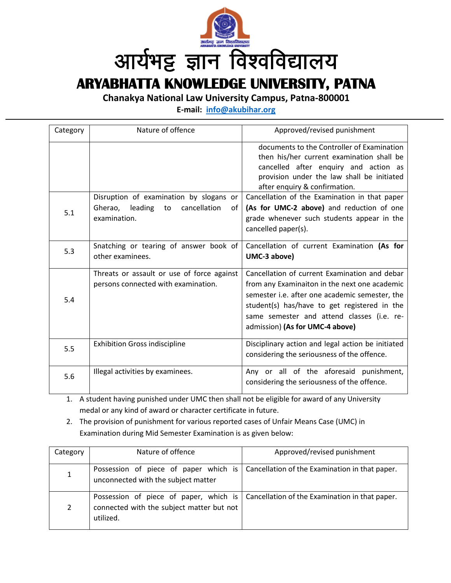

**E-mail: [info@akubihar.org](mailto:info@akubihar.org)**

| Category | Nature of offence                                                                                      | Approved/revised punishment                                                                                                                                                                                                                                                       |
|----------|--------------------------------------------------------------------------------------------------------|-----------------------------------------------------------------------------------------------------------------------------------------------------------------------------------------------------------------------------------------------------------------------------------|
|          |                                                                                                        | documents to the Controller of Examination<br>then his/her current examination shall be<br>cancelled after enquiry and action as<br>provision under the law shall be initiated<br>after enquiry & confirmation.                                                                   |
| 5.1      | Disruption of examination by slogans or<br>Gherao, leading<br>to<br>cancellation<br>of<br>examination. | Cancellation of the Examination in that paper<br>(As for UMC-2 above) and reduction of one<br>grade whenever such students appear in the<br>cancelled paper(s).                                                                                                                   |
| 5.3      | Snatching or tearing of answer book of<br>other examinees.                                             | Cancellation of current Examination (As for<br>UMC-3 above)                                                                                                                                                                                                                       |
| 5.4      | Threats or assault or use of force against<br>persons connected with examination.                      | Cancellation of current Examination and debar<br>from any Examinaiton in the next one academic<br>semester i.e. after one academic semester, the<br>student(s) has/have to get registered in the<br>same semester and attend classes (i.e. re-<br>admission) (As for UMC-4 above) |
| 5.5      | <b>Exhibition Gross indiscipline</b>                                                                   | Disciplinary action and legal action be initiated<br>considering the seriousness of the offence.                                                                                                                                                                                  |
| 5.6      | Illegal activities by examinees.                                                                       | Any or all of the aforesaid punishment,<br>considering the seriousness of the offence.                                                                                                                                                                                            |

1. A student having punished under UMC then shall not be eligible for award of any University medal or any kind of award or character certificate in future.

2. The provision of punishment for various reported cases of Unfair Means Case (UMC) in Examination during Mid Semester Examination is as given below:

| Category     | Nature of offence                                      | Approved/revised punishment                                                             |
|--------------|--------------------------------------------------------|-----------------------------------------------------------------------------------------|
| 1            | unconnected with the subject matter                    | Possession of piece of paper which is   Cancellation of the Examination in that paper.  |
| $\mathbf{2}$ | connected with the subject matter but not<br>utilized. | Possession of piece of paper, which is   Cancellation of the Examination in that paper. |